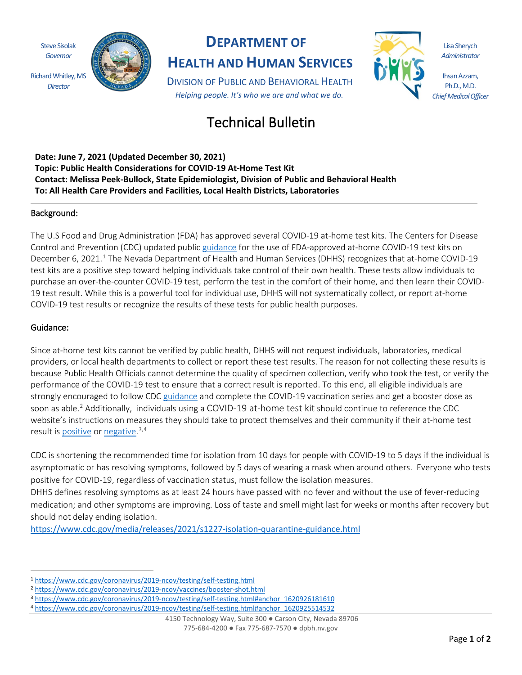Steve Sisolak *Governor* Richard Whitley, MS

*Director*



## **DEPARTMENT OF**

**HEALTH AND HUMAN SERVICES**

DIVISION OF PUBLIC AND BEHAVIORAL HEALTH *Helping people. It's who we are and what we do.*



Lisa Sherych *Administrator*

Ihsan Azzam, Ph.D., M.D. *Chief Medical Officer*

# Technical Bulletin

**Date: June 7, 2021 (Updated December 30, 2021) Topic: Public Health Considerations for COVID-19 At-Home Test Kit Contact: Melissa Peek-Bullock, State Epidemiologist, Division of Public and Behavioral Health To: All Health Care Providers and Facilities, Local Health Districts, Laboratories**

### Background:

The U.S Food and Drug Administration (FDA) has approved several COVID-19 at-home test kits. The Centers for Disease Control and Prevention (CDC) updated publi[c guidance](https://www.cdc.gov/coronavirus/2019-ncov/testing/self-testing.html) for the use of FDA-approved at-home COVID-19 test kits on December 6, 202[1](#page-0-0).<sup>1</sup> The Nevada Department of Health and Human Services (DHHS) recognizes that at-home COVID-19 test kits are a positive step toward helping individuals take control of their own health. These tests allow individuals to purchase an over-the-counter COVID-19 test, perform the test in the comfort of their home, and then learn their COVID-19 test result. While this is a powerful tool for individual use, DHHS will not systematically collect, or report at-home COVID-19 test results or recognize the results of these tests for public health purposes.

### Guidance:

Since at-home test kits cannot be verified by public health, DHHS will not request individuals, laboratories, medical providers, or local health departments to collect or report these test results. The reason for not collecting these results is because Public Health Officials cannot determine the quality of specimen collection, verify who took the test, or verify the performance of the COVID-19 test to ensure that a correct result is reported. To this end, all eligible individuals are strongly encouraged to follow CD[C guidance](https://www.cdc.gov/coronavirus/2019-ncov/vaccines/booster-shot.html) and complete the COVID-19 vaccination series and get a booster dose as soon as able. [2](#page-0-1) Additionally, individuals using a COVID-19 at-home test kit should continue to reference the CDC website's instructions on measures they should take to protect themselves and their community if their at-home test result is [positive](https://www.cdc.gov/coronavirus/2019-ncov/testing/self-testing.html#anchor_1620926181610) or [negative.](https://www.cdc.gov/coronavirus/2019-ncov/testing/self-testing.html#anchor_1620925514532)<sup>[3](#page-0-2),[4](#page-0-3)</sup>

CDC is shortening the recommended time for isolation from 10 days for people with COVID-19 to 5 days if the individual is asymptomatic or has resolving symptoms, followed by 5 days of wearing a mask when around others. Everyone who tests positive for COVID-19, regardless of vaccination status, must follow the isolation measures.

DHHS defines resolving symptoms as at least 24 hours have passed with no fever and without the use of fever-reducing medication; and other symptoms are improving. Loss of taste and smell might last for weeks or months after recovery but should not delay ending isolation.

<https://www.cdc.gov/media/releases/2021/s1227-isolation-quarantine-guidance.html>

<span id="page-0-3"></span><sup>4</sup> [https://www.cdc.gov/coronavirus/2019-ncov/testing/self-testing.html#anchor\\_1620925514532](https://www.cdc.gov/coronavirus/2019-ncov/testing/self-testing.html#anchor_1620925514532)

<span id="page-0-0"></span><sup>1</sup> <https://www.cdc.gov/coronavirus/2019-ncov/testing/self-testing.html>2 <https://www.cdc.gov/coronavirus/2019-ncov/vaccines/booster-shot.html>

<span id="page-0-1"></span>

<span id="page-0-2"></span><sup>3</sup> [https://www.cdc.gov/coronavirus/2019-ncov/testing/self-testing.html#anchor\\_1620926181610](https://www.cdc.gov/coronavirus/2019-ncov/testing/self-testing.html#anchor_1620926181610)

<sup>4150</sup> Technology Way, Suite 300 ● Carson City, Nevada 89706 775-684-4200 ● Fax 775-687-7570 ● dpbh.nv.gov